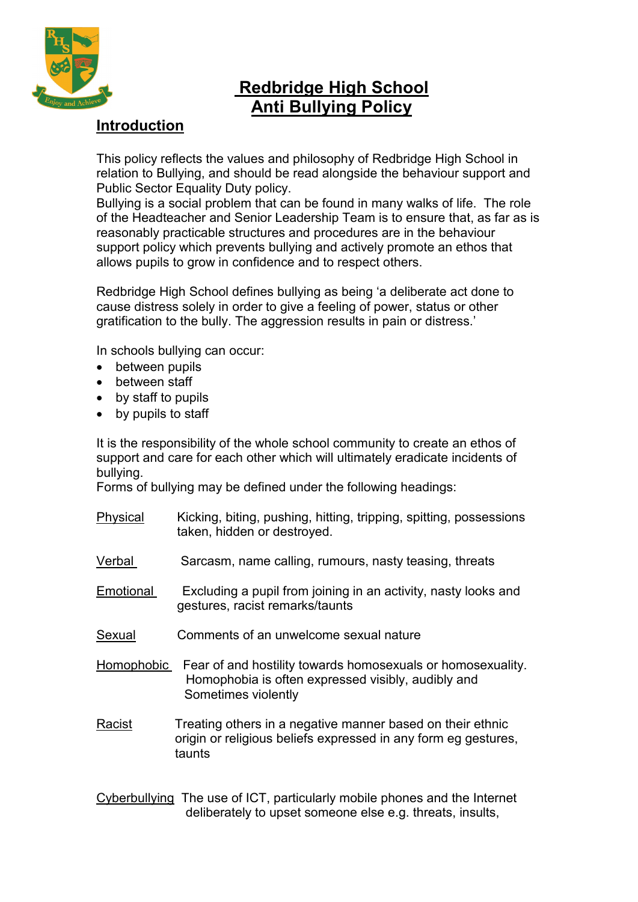

# **Redbridge High School Anti Bullying Policy**

# **Introduction**

This policy reflects the values and philosophy of Redbridge High School in relation to Bullying, and should be read alongside the behaviour support and Public Sector Equality Duty policy.

Bullying is a social problem that can be found in many walks of life. The role of the Headteacher and Senior Leadership Team is to ensure that, as far as is reasonably practicable structures and procedures are in the behaviour support policy which prevents bullying and actively promote an ethos that allows pupils to grow in confidence and to respect others.

Redbridge High School defines bullying as being 'a deliberate act done to cause distress solely in order to give a feeling of power, status or other gratification to the bully. The aggression results in pain or distress.'

In schools bullying can occur:

- between pupils
- between staff
- by staff to pupils
- by pupils to staff

It is the responsibility of the whole school community to create an ethos of support and care for each other which will ultimately eradicate incidents of bullying.

Forms of bullying may be defined under the following headings:

- Physical Kicking, biting, pushing, hitting, tripping, spitting, possessions taken, hidden or destroyed.
- Verbal Sarcasm, name calling, rumours, nasty teasing, threats
- Emotional Excluding a pupil from joining in an activity, nasty looks and gestures, racist remarks/taunts
- Sexual Comments of an unwelcome sexual nature
- Homophobic Fear of and hostility towards homosexuals or homosexuality. Homophobia is often expressed visibly, audibly and Sometimes violently
- Racist Treating others in a negative manner based on their ethnic origin or religious beliefs expressed in any form eg gestures, taunts

Cyberbullying The use of ICT, particularly mobile phones and the Internet deliberately to upset someone else e.g. threats, insults,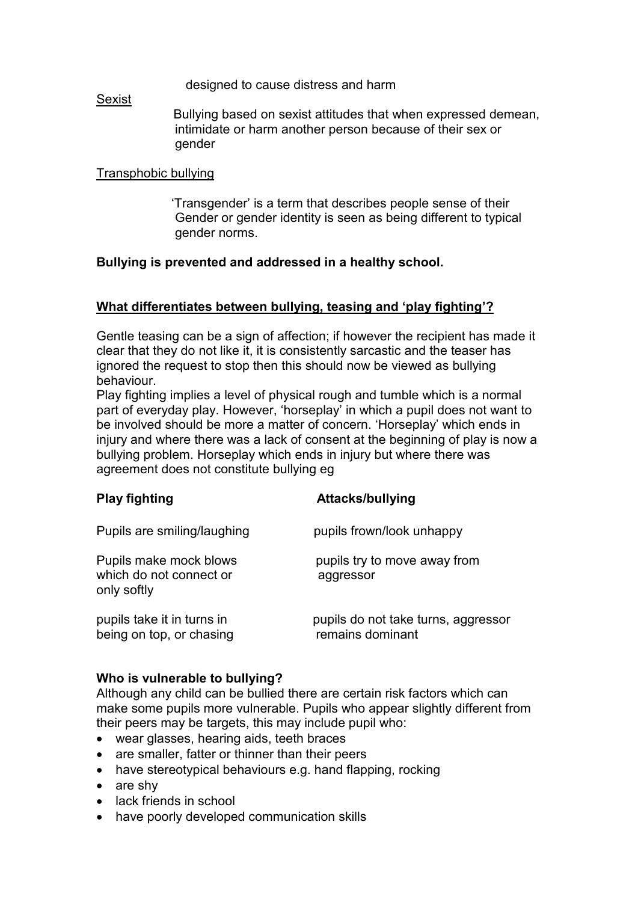designed to cause distress and harm

#### Sexist

 Bullying based on sexist attitudes that when expressed demean, intimidate or harm another person because of their sex or gender

## Transphobic bullying

 'Transgender' is a term that describes people sense of their Gender or gender identity is seen as being different to typical gender norms.

## **Bullying is prevented and addressed in a healthy school.**

## **What differentiates between bullying, teasing and 'play fighting'?**

Gentle teasing can be a sign of affection; if however the recipient has made it clear that they do not like it, it is consistently sarcastic and the teaser has ignored the request to stop then this should now be viewed as bullying behaviour.

Play fighting implies a level of physical rough and tumble which is a normal part of everyday play. However, 'horseplay' in which a pupil does not want to be involved should be more a matter of concern. 'Horseplay' which ends in injury and where there was a lack of consent at the beginning of play is now a bullying problem. Horseplay which ends in injury but where there was agreement does not constitute bullying eg

|                                                                                                 | <b>AUWVINDI MULLY LITY</b>                                             |
|-------------------------------------------------------------------------------------------------|------------------------------------------------------------------------|
| Pupils are smiling/laughing<br>Pupils make mock blows<br>which do not connect or<br>only softly | pupils frown/look unhappy<br>pupils try to move away from<br>aggressor |
|                                                                                                 |                                                                        |

**Play fighting Attacks/bullying**

#### **Who is vulnerable to bullying?**

Although any child can be bullied there are certain risk factors which can make some pupils more vulnerable. Pupils who appear slightly different from their peers may be targets, this may include pupil who:

- wear glasses, hearing aids, teeth braces
- are smaller, fatter or thinner than their peers
- have stereotypical behaviours e.g. hand flapping, rocking
- are shy
- lack friends in school
- have poorly developed communication skills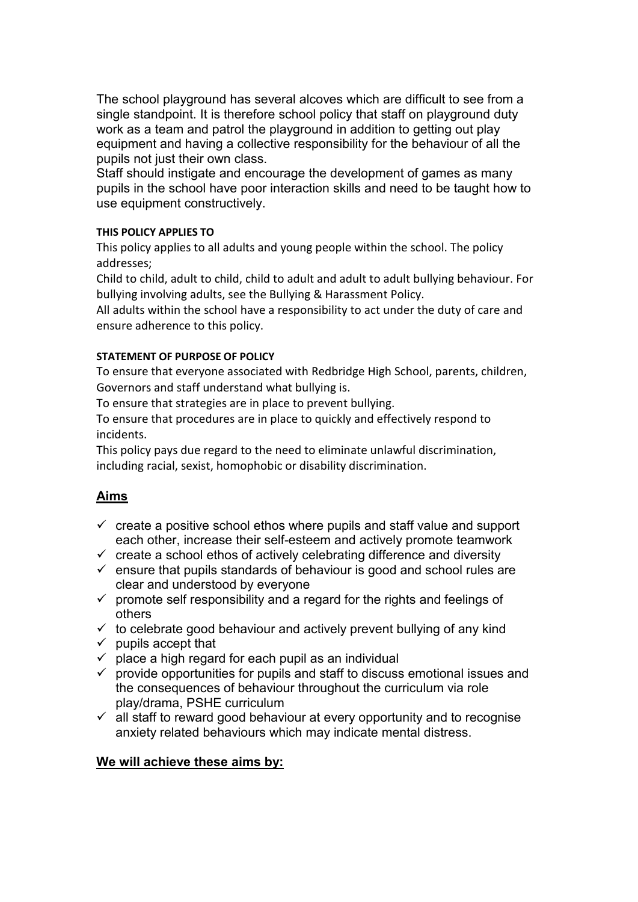The school playground has several alcoves which are difficult to see from a single standpoint. It is therefore school policy that staff on playground duty work as a team and patrol the playground in addition to getting out play equipment and having a collective responsibility for the behaviour of all the pupils not just their own class.

Staff should instigate and encourage the development of games as many pupils in the school have poor interaction skills and need to be taught how to use equipment constructively.

#### **THIS POLICY APPLIES TO**

This policy applies to all adults and young people within the school. The policy addresses;

Child to child, adult to child, child to adult and adult to adult bullying behaviour. For bullying involving adults, see the Bullying & Harassment Policy.

All adults within the school have a responsibility to act under the duty of care and ensure adherence to this policy.

## **STATEMENT OF PURPOSE OF POLICY**

To ensure that everyone associated with Redbridge High School, parents, children, Governors and staff understand what bullying is.

To ensure that strategies are in place to prevent bullying.

To ensure that procedures are in place to quickly and effectively respond to incidents.

This policy pays due regard to the need to eliminate unlawful discrimination, including racial, sexist, homophobic or disability discrimination.

# **Aims**

- $\checkmark$  create a positive school ethos where pupils and staff value and support each other, increase their self-esteem and actively promote teamwork
- $\checkmark$  create a school ethos of actively celebrating difference and diversity
- $\checkmark$  ensure that pupils standards of behaviour is good and school rules are clear and understood by everyone
- $\checkmark$  promote self responsibility and a regard for the rights and feelings of others
- $\checkmark$  to celebrate good behaviour and actively prevent bullying of any kind
- $\checkmark$  pupils accept that
- $\checkmark$  place a high regard for each pupil as an individual
- $\checkmark$  provide opportunities for pupils and staff to discuss emotional issues and the consequences of behaviour throughout the curriculum via role play/drama, PSHE curriculum
- $\checkmark$  all staff to reward good behaviour at every opportunity and to recognise anxiety related behaviours which may indicate mental distress.

## **We will achieve these aims by:**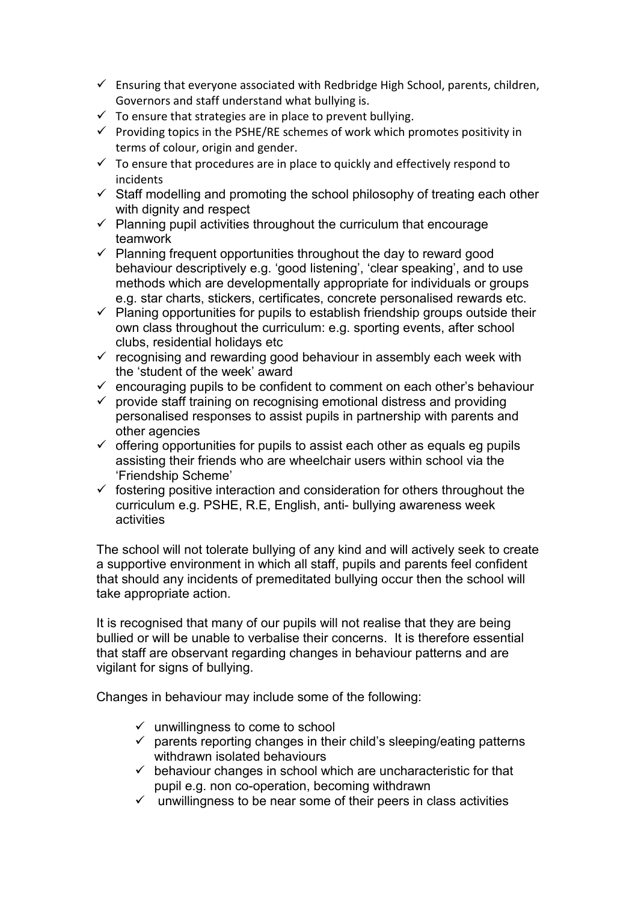- $\checkmark$  Ensuring that everyone associated with Redbridge High School, parents, children, Governors and staff understand what bullying is.
- $\checkmark$  To ensure that strategies are in place to prevent bullying.
- $\checkmark$  Providing topics in the PSHE/RE schemes of work which promotes positivity in terms of colour, origin and gender.
- $\checkmark$  To ensure that procedures are in place to quickly and effectively respond to incidents
- $\checkmark$  Staff modelling and promoting the school philosophy of treating each other with dignity and respect
- $\checkmark$  Planning pupil activities throughout the curriculum that encourage teamwork
- $\checkmark$  Planning frequent opportunities throughout the day to reward good behaviour descriptively e.g. 'good listening', 'clear speaking', and to use methods which are developmentally appropriate for individuals or groups e.g. star charts, stickers, certificates, concrete personalised rewards etc.
- $\checkmark$  Planing opportunities for pupils to establish friendship groups outside their own class throughout the curriculum: e.g. sporting events, after school clubs, residential holidays etc
- $\checkmark$  recognising and rewarding good behaviour in assembly each week with the 'student of the week' award
- $\checkmark$  encouraging pupils to be confident to comment on each other's behaviour
- $\checkmark$  provide staff training on recognising emotional distress and providing personalised responses to assist pupils in partnership with parents and other agencies
- $\checkmark$  offering opportunities for pupils to assist each other as equals eg pupils assisting their friends who are wheelchair users within school via the 'Friendship Scheme'
- $\checkmark$  fostering positive interaction and consideration for others throughout the curriculum e.g. PSHE, R.E, English, anti- bullying awareness week activities

The school will not tolerate bullying of any kind and will actively seek to create a supportive environment in which all staff, pupils and parents feel confident that should any incidents of premeditated bullying occur then the school will take appropriate action.

It is recognised that many of our pupils will not realise that they are being bullied or will be unable to verbalise their concerns. It is therefore essential that staff are observant regarding changes in behaviour patterns and are vigilant for signs of bullying.

Changes in behaviour may include some of the following:

- $\checkmark$  unwillingness to come to school
- $\checkmark$  parents reporting changes in their child's sleeping/eating patterns withdrawn isolated behaviours
- $\checkmark$  behaviour changes in school which are uncharacteristic for that pupil e.g. non co-operation, becoming withdrawn
- unwillingness to be near some of their peers in class activities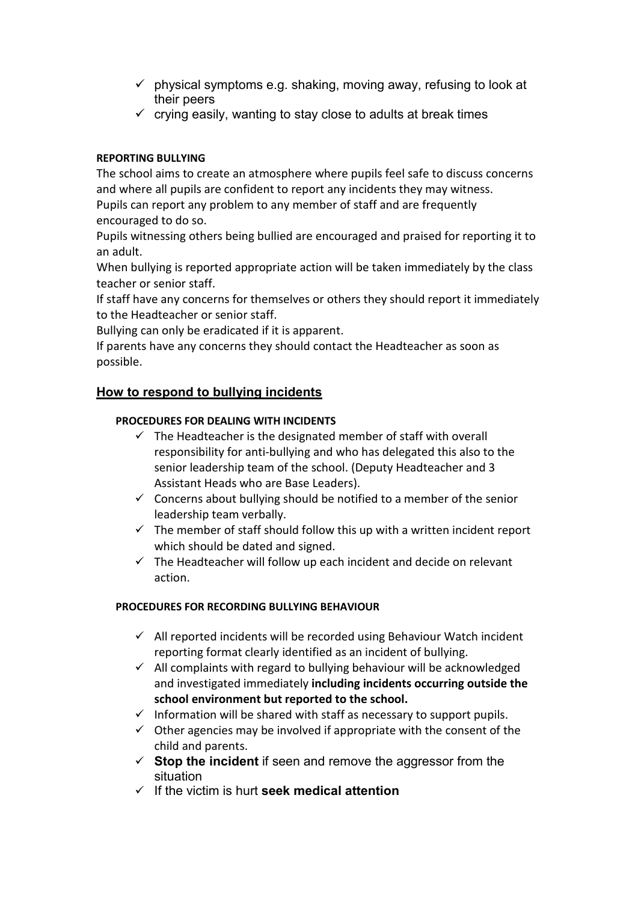- $\checkmark$  physical symptoms e.g. shaking, moving away, refusing to look at their peers
- $\checkmark$  crying easily, wanting to stay close to adults at break times

# **REPORTING BULLYING**

The school aims to create an atmosphere where pupils feel safe to discuss concerns and where all pupils are confident to report any incidents they may witness. Pupils can report any problem to any member of staff and are frequently encouraged to do so.

Pupils witnessing others being bullied are encouraged and praised for reporting it to an adult.

When bullying is reported appropriate action will be taken immediately by the class teacher or senior staff.

If staff have any concerns for themselves or others they should report it immediately to the Headteacher or senior staff.

Bullying can only be eradicated if it is apparent.

If parents have any concerns they should contact the Headteacher as soon as possible.

# **How to respond to bullying incidents**

## **PROCEDURES FOR DEALING WITH INCIDENTS**

- $\checkmark$  The Headteacher is the designated member of staff with overall responsibility for anti-bullying and who has delegated this also to the senior leadership team of the school. (Deputy Headteacher and 3 Assistant Heads who are Base Leaders).
- $\checkmark$  Concerns about bullying should be notified to a member of the senior leadership team verbally.
- $\checkmark$  The member of staff should follow this up with a written incident report which should be dated and signed.
- $\checkmark$  The Headteacher will follow up each incident and decide on relevant action.

## **PROCEDURES FOR RECORDING BULLYING BEHAVIOUR**

- $\checkmark$  All reported incidents will be recorded using Behaviour Watch incident reporting format clearly identified as an incident of bullying.
- $\checkmark$  All complaints with regard to bullying behaviour will be acknowledged and investigated immediately **including incidents occurring outside the school environment but reported to the school.**
- $\checkmark$  Information will be shared with staff as necessary to support pupils.
- $\checkmark$  Other agencies may be involved if appropriate with the consent of the child and parents.
- $\checkmark$  **Stop the incident** if seen and remove the aggressor from the situation
- If the victim is hurt **seek medical attention**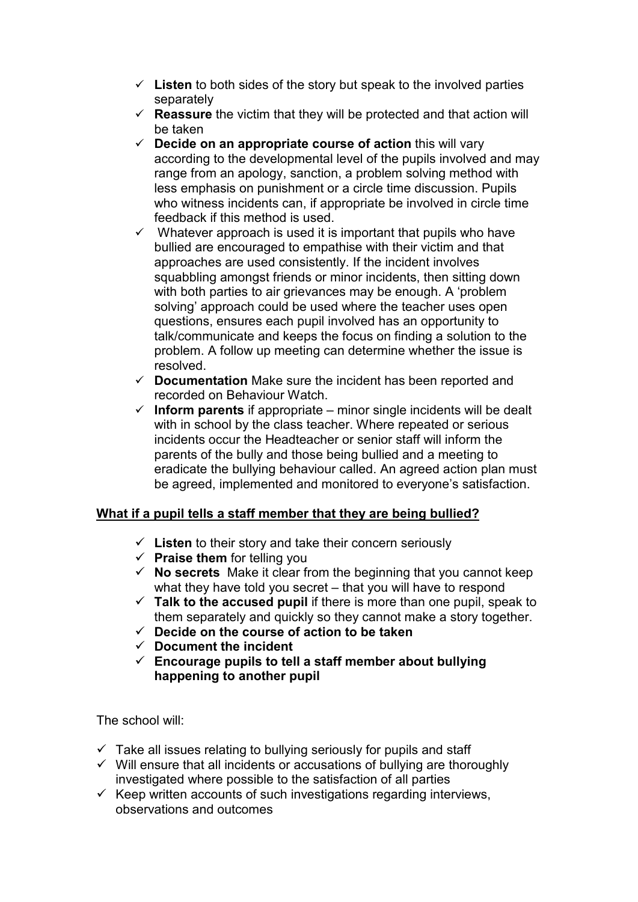- $\checkmark$  Listen to both sides of the story but speak to the involved parties separately
- $\checkmark$  **Reassure** the victim that they will be protected and that action will be taken
- $\checkmark$  **Decide on an appropriate course of action** this will vary according to the developmental level of the pupils involved and may range from an apology, sanction, a problem solving method with less emphasis on punishment or a circle time discussion. Pupils who witness incidents can, if appropriate be involved in circle time feedback if this method is used.
- $\checkmark$  Whatever approach is used it is important that pupils who have bullied are encouraged to empathise with their victim and that approaches are used consistently. If the incident involves squabbling amongst friends or minor incidents, then sitting down with both parties to air grievances may be enough. A 'problem solving' approach could be used where the teacher uses open questions, ensures each pupil involved has an opportunity to talk/communicate and keeps the focus on finding a solution to the problem. A follow up meeting can determine whether the issue is resolved.
- **Documentation** Make sure the incident has been reported and recorded on Behaviour Watch.
- $\checkmark$  Inform parents if appropriate minor single incidents will be dealt with in school by the class teacher. Where repeated or serious incidents occur the Headteacher or senior staff will inform the parents of the bully and those being bullied and a meeting to eradicate the bullying behaviour called. An agreed action plan must be agreed, implemented and monitored to everyone's satisfaction.

# **What if a pupil tells a staff member that they are being bullied?**

- $\checkmark$  Listen to their story and take their concern seriously
- **Praise them** for telling you
- $\checkmark$  **No secrets** Make it clear from the beginning that you cannot keep what they have told you secret – that you will have to respond
- $\checkmark$  Talk to the accused pupil if there is more than one pupil, speak to them separately and quickly so they cannot make a story together.
- **Decide on the course of action to be taken**
- **Document the incident**
- **Encourage pupils to tell a staff member about bullying happening to another pupil**

The school will:

- $\checkmark$  Take all issues relating to bullying seriously for pupils and staff
- $\checkmark$  Will ensure that all incidents or accusations of bullying are thoroughly investigated where possible to the satisfaction of all parties
- $\checkmark$  Keep written accounts of such investigations regarding interviews, observations and outcomes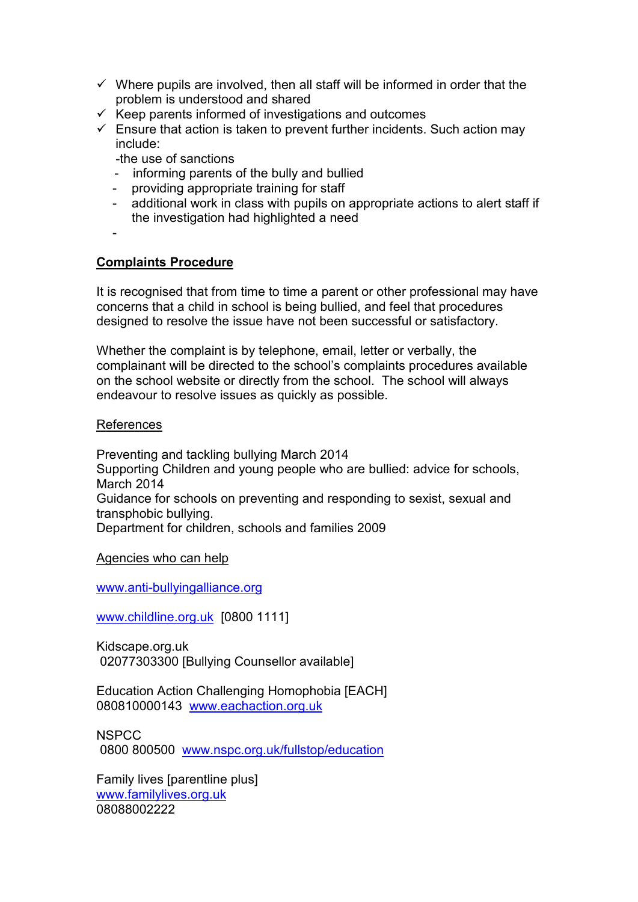- $\checkmark$  Where pupils are involved, then all staff will be informed in order that the problem is understood and shared
- $\checkmark$  Keep parents informed of investigations and outcomes
- $\checkmark$  Ensure that action is taken to prevent further incidents. Such action may include:

-the use of sanctions

- informing parents of the bully and bullied
- providing appropriate training for staff
- additional work in class with pupils on appropriate actions to alert staff if the investigation had highlighted a need
- -

# **Complaints Procedure**

It is recognised that from time to time a parent or other professional may have concerns that a child in school is being bullied, and feel that procedures designed to resolve the issue have not been successful or satisfactory.

Whether the complaint is by telephone, email, letter or verbally, the complainant will be directed to the school's complaints procedures available on the school website or directly from the school. The school will always endeavour to resolve issues as quickly as possible.

#### References

Preventing and tackling bullying March 2014 Supporting Children and young people who are bullied: advice for schools, March 2014 Guidance for schools on preventing and responding to sexist, sexual and transphobic bullying. Department for children, schools and families 2009

Agencies who can help

[www.anti-bullyingalliance.org](http://www.anti-bullyingalliance.org/)

[www.childline.org.uk](http://www.childline.org.uk/) [0800 1111]

Kidscape.org.uk 02077303300 [Bullying Counsellor available]

Education Action Challenging Homophobia [EACH] 080810000143 [www.eachaction.org.uk](http://www.eachaction.org.uk/)

**NSPCC** 0800 800500 [www.nspc.org.uk/fullstop/education](http://www.nspc.org.uk/fullstop/education)

Family lives [parentline plus] [www.familylives.org.uk](http://www.familylives.org.uk/) 08088002222